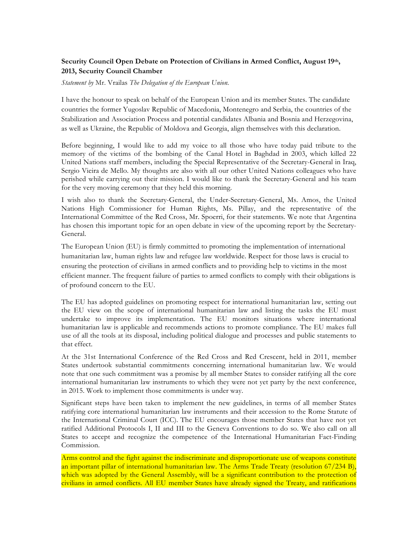## **Security Council Open Debate on Protection of Civilians in Armed Conflict, August 19th, 2013, Security Council Chamber**

*Statement by* Mr. Vrailas *The Delegation of the European Union.*

I have the honour to speak on behalf of the European Union and its member States. The candidate countries the former Yugoslav Republic of Macedonia, Montenegro and Serbia, the countries of the Stabilization and Association Process and potential candidates Albania and Bosnia and Herzegovina, as well as Ukraine, the Republic of Moldova and Georgia, align themselves with this declaration.

Before beginning, I would like to add my voice to all those who have today paid tribute to the memory of the victims of the bombing of the Canal Hotel in Baghdad in 2003, which killed 22 United Nations staff members, including the Special Representative of the Secretary-General in Iraq, Sergio Vieira de Mello. My thoughts are also with all our other United Nations colleagues who have perished while carrying out their mission. I would like to thank the Secretary-General and his team for the very moving ceremony that they held this morning.

I wish also to thank the Secretary-General, the Under-Secretary-General, Ms. Amos, the United Nations High Commissioner for Human Rights, Ms. Pillay, and the representative of the International Committee of the Red Cross, Mr. Spoerri, for their statements. We note that Argentina has chosen this important topic for an open debate in view of the upcoming report by the Secretary-General.

The European Union (EU) is firmly committed to promoting the implementation of international humanitarian law, human rights law and refugee law worldwide. Respect for those laws is crucial to ensuring the protection of civilians in armed conflicts and to providing help to victims in the most efficient manner. The frequent failure of parties to armed conflicts to comply with their obligations is of profound concern to the EU.

The EU has adopted guidelines on promoting respect for international humanitarian law, setting out the EU view on the scope of international humanitarian law and listing the tasks the EU must undertake to improve its implementation. The EU monitors situations where international humanitarian law is applicable and recommends actions to promote compliance. The EU makes full use of all the tools at its disposal, including political dialogue and processes and public statements to that effect.

At the 31st International Conference of the Red Cross and Red Crescent, held in 2011, member States undertook substantial commitments concerning international humanitarian law. We would note that one such commitment was a promise by all member States to consider ratifying all the core international humanitarian law instruments to which they were not yet party by the next conference, in 2015. Work to implement those commitments is under way.

Significant steps have been taken to implement the new guidelines, in terms of all member States ratifying core international humanitarian law instruments and their accession to the Rome Statute of the International Criminal Court (ICC). The EU encourages those member States that have not yet ratified Additional Protocols I, II and III to the Geneva Conventions to do so. We also call on all States to accept and recognize the competence of the International Humanitarian Fact-Finding Commission.

Arms control and the fight against the indiscriminate and disproportionate use of weapons constitute an important pillar of international humanitarian law. The Arms Trade Treaty (resolution 67/234 B), which was adopted by the General Assembly, will be a significant contribution to the protection of civilians in armed conflicts. All EU member States have already signed the Treaty, and ratifications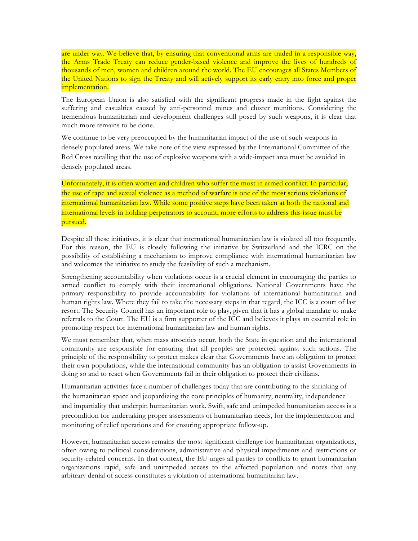are under way. We believe that, by ensuring that conventional arms are traded in a responsible way, the Arms Trade Treaty can reduce gender-based violence and improve the lives of hundreds of thousands of men, women and children around the world. The EU encourages all States Members of the United Nations to sign the Treaty and will actively support its early entry into force and proper implementation.

The European Union is also satisfied with the significant progress made in the fight against the suffering and casualties caused by anti-personnel mines and cluster munitions. Considering the tremendous humanitarian and development challenges still posed by such weapons, it is clear that much more remains to be done.

We continue to be very preoccupied by the humanitarian impact of the use of such weapons in densely populated areas. We take note of the view expressed by the International Committee of the Red Cross recalling that the use of explosive weapons with a wide-impact area must be avoided in densely populated areas.

Unfortunately, it is often women and children who suffer the most in armed conflict. In particular, the use of rape and sexual violence as a method of warfare is one of the most serious violations of international humanitarian law. While some positive steps have been taken at both the national and international levels in holding perpetrators to account, more efforts to address this issue must be pursued.

Despite all these initiatives, it is clear that international humanitarian law is violated all too frequently. For this reason, the EU is closely following the initiative by Switzerland and the ICRC on the possibility of establishing a mechanism to improve compliance with international humanitarian law and welcomes the initiative to study the feasibility of such a mechanism.

Strengthening accountability when violations occur is a crucial element in encouraging the parties to armed conflict to comply with their international obligations. National Governments have the primary responsibility to provide accountability for violations of international humanitarian and human rights law. Where they fail to take the necessary steps in that regard, the ICC is a court of last resort. The Security Council has an important role to play, given that it has a global mandate to make referrals to the Court. The EU is a firm supporter of the ICC and believes it plays an essential role in promoting respect for international humanitarian law and human rights.

We must remember that, when mass atrocities occur, both the State in question and the international community are responsible for ensuring that all peoples are protected against such actions. The principle of the responsibility to protect makes clear that Governments have an obligation to protect their own populations, while the international community has an obligation to assist Governments in doing so and to react when Governments fail in their obligation to protect their civilians.

Humanitarian activities face a number of challenges today that are contributing to the shrinking of the humanitarian space and jeopardizing the core principles of humanity, neutrality, independence and impartiality that underpin humanitarian work. Swift, safe and unimpeded humanitarian access is a precondition for undertaking proper assessments of humanitarian needs, for the implementation and monitoring of relief operations and for ensuring appropriate follow-up.

However, humanitarian access remains the most significant challenge for humanitarian organizations, often owing to political considerations, administrative and physical impediments and restrictions or security-related concerns. In that context, the EU urges all parties to conflicts to grant humanitarian organizations rapid, safe and unimpeded access to the affected population and notes that any arbitrary denial of access constitutes a violation of international humanitarian law.